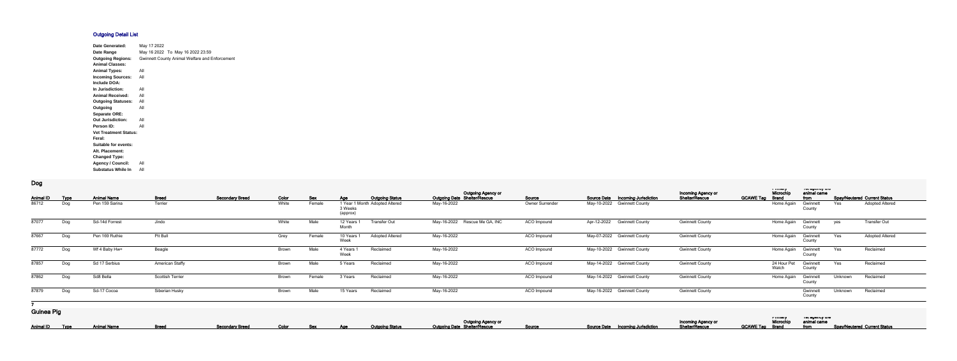## **Outgoing Detail List**

| Date Generated:              | May 17 2022 |                                                |
|------------------------------|-------------|------------------------------------------------|
| Date Range                   |             | May 16 2022 To May 16 2022 23:59               |
| <b>Outgoing Regions:</b>     |             | Gwinnett County Animal Welfare and Enforcement |
| <b>Animal Classes:</b>       |             |                                                |
| <b>Animal Types:</b>         | All         |                                                |
| <b>Incoming Sources:</b>     | All         |                                                |
| Include DOA:                 |             |                                                |
| In Jurisdiction:             | All         |                                                |
| <b>Animal Received:</b>      | All         |                                                |
| <b>Outgoing Statuses:</b>    | All         |                                                |
| Outgoing                     | All         |                                                |
| <b>Separate ORE:</b>         |             |                                                |
| <b>Out Jurisdiction:</b>     | All         |                                                |
| Person ID:                   | All         |                                                |
| <b>Vet Treatment Status:</b> |             |                                                |
| Feral:                       |             |                                                |
| <b>Suitable for events:</b>  |             |                                                |
| Alt. Placement:              |             |                                                |
| <b>Changed Type:</b>         |             |                                                |
| <b>Agency / Council:</b>     | All         |                                                |
| <b>Substatus While In</b>    | All         |                                                |

**Dog**

|                           |             | <b>Animal Name</b> | <b>Breed</b>            |                        |                |                      |                            |                                                          | Outgoing Agency or<br>Outgoing Date Shelter/Rescue               | Source          |                                                                   | Incoming Agency or<br>Shelter/Rescue | i muuj<br>Microchip<br><b>GCAWE Tag</b><br><b>Brand</b>  | יוט עשטווען וווע<br>animal came         |         | <b>Spay/Neutered Current Status</b> |
|---------------------------|-------------|--------------------|-------------------------|------------------------|----------------|----------------------|----------------------------|----------------------------------------------------------|------------------------------------------------------------------|-----------------|-------------------------------------------------------------------|--------------------------------------|----------------------------------------------------------|-----------------------------------------|---------|-------------------------------------|
| <b>Animal ID</b><br>86712 | Type<br>Dog | Pen 159 Sarina     | Terrier                 | <b>Secondary Breed</b> | Color<br>White | <b>Sex</b><br>Female | Age<br>3 Weeks<br>(approx) | <b>Outgoing Status</b><br>1 Year 1 Month Adopted Altered | May-16-2022                                                      | Owner Surrender | Source Date  Incoming Jurisdiction<br>May-10-2022 Gwinnett County |                                      | Home Again                                               | from<br>Gwinnet<br>County               | Yes     | <b>Adopted Altered</b>              |
| 87077                     | Dog         | Sd-14d Forrest     | Jindo                   |                        | White          | Male                 | 12 Years<br>Month          | <b>Transfer Out</b>                                      | May-16-2022<br>Rescue Me GA, INC                                 | ACO Impound     | Apr-12-2022<br><b>Gwinnett County</b>                             | <b>Gwinnett County</b>               | Home Again                                               | Gwinnett<br>County                      | yes     | <b>Transfer Out</b>                 |
| 87667                     | Dog         | Pen 169 Ruthie     | Pit Bull                |                        | Grey           | Female               | 10 Years<br>Week           | <b>Adopted Altered</b>                                   | May-16-2022                                                      | ACO Impound     | May-07-2022 Gwinnett County                                       | <b>Gwinnett County</b>               | Home Again                                               | Gwinnett<br>County                      | Yes     | <b>Adopted Altered</b>              |
| 87772                     | Dog         | Wf 4 Baby Hw+      | Beagle                  |                        | Brown          | Male                 | 4 Years<br>Week            | Reclaimed                                                | May-16-2022                                                      | ACO Impound     | May-10-2022 Gwinnett County                                       | <b>Gwinnett County</b>               | Home Again                                               | Gwinnett<br>County                      | Yes     | Reclaimed                           |
| 87857                     | Dog         | Sd 17 Serbius      | <b>American Staffy</b>  |                        | Brown          | Male                 | 5 Years                    | Reclaimed                                                | May-16-2022                                                      | ACO Impound     | May-14-2022 Gwinnett County                                       | <b>Gwinnett County</b>               | 24 Hour Pet<br>Watch                                     | Gwinnett<br>County                      | Yes     | Reclaimed                           |
| 87862                     | Dog         | Sd8 Bella          | <b>Scottish Terrier</b> |                        | Brown          | Female               | 3 Years                    | Reclaimed                                                | May-16-2022                                                      | ACO Impound     | May-14-2022 Gwinnett County                                       | <b>Gwinnett County</b>               | Home Again                                               | Gwinnet<br>County                       | Unknown | Reclaimed                           |
| 87879                     | Dog         | Sd-17 Cocoa        | Siberian Husky          |                        | Brown          | Male                 | 15 Years                   | Reclaimed                                                | May-16-2022                                                      | ACO Impound     | May-16-2022 Gwinnett County                                       | <b>Gwinnett County</b>               |                                                          | Gwinnet<br>County                       | Unknown | Reclaimed                           |
| <b>Guinea Pig</b>         |             |                    |                         |                        |                |                      |                            |                                                          |                                                                  |                 |                                                                   |                                      |                                                          |                                         |         |                                     |
| <b>Animal ID</b>          | <b>Type</b> | <b>Animal Name</b> | <b>Breed</b>            | <b>Secondary Breed</b> | Color          | <b>Sex</b>           | <u>Age</u>                 | <b>Outgoing Status</b>                                   | <b>Outgoing Agency or</b><br><b>Outgoing Date Shelter/Rescue</b> | Source          | <b>Source Date</b><br><b>Incoming Jurisdiction</b>                | Incoming Agency or<br>Shelter/Rescue | ாப்படிய<br>Microchip<br><b>GCAWE Tag</b><br><b>Brand</b> | ו סג טאַוסאַ טוס<br>animal came<br>from |         | <b>Spay/Neutered Current Status</b> |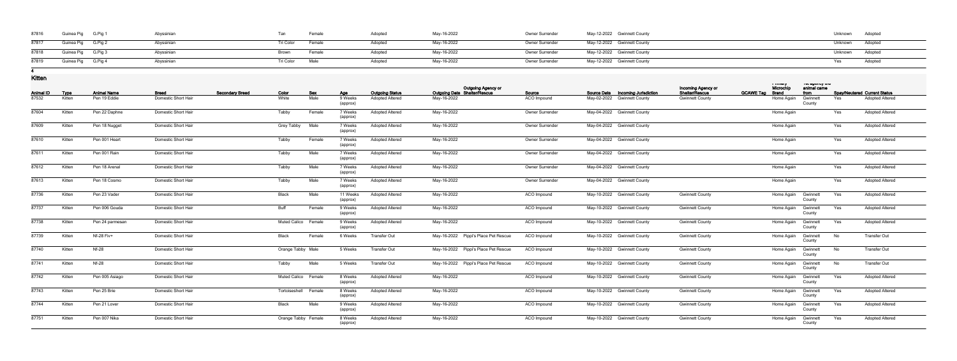| 87816 | Guinea Pig G.Pig 1 | Abyssinian | Tan       | Female | Adopted | May-16-2022 | Owner Surrender        | May-12-2022 Gwinnett County | Unknown         | Adopted |
|-------|--------------------|------------|-----------|--------|---------|-------------|------------------------|-----------------------------|-----------------|---------|
| 87817 | Guinea Pig G.Pig 2 | Abyssinian | Tri Color | Female | Adopted | May-16-2022 | <b>Owner Surrender</b> | May-12-2022 Gwinnett County | Unknown Adopted |         |
| 87818 | Guinea Pig G.Pig 3 | Abyssinian |           | Female | Adopted | May-16-2022 | <b>Owner Surrender</b> | May-12-2022 Gwinnett County | Unknown         | Adopted |
| 87819 | Guinea Pig G.Pig 4 | Abyssinian | Tri Color | Male   | Adopted | May-16-2022 | <b>Owner Surrender</b> | May-12-2022 Gwinnett County |                 | Adoptec |

**4**

## **Kitten**

| <b>Animal ID</b> | <u>Type</u> | <b>Animal Name</b> | <b>Breed</b>               | <b>Secondary Breed</b><br>Color | <b>Sex</b>           | <u>Age</u>           | <b>Outgoing Status</b> | Outgoing Agency or<br>Outgoing Date Shelter/Rescue | Source             | Source Date  Incoming Jurisdiction | Incoming Agency or<br>Shelter/Rescue | i muuy<br>Microchip<br><b>GCAWE Tag</b><br><b>Brand</b> | ווט עשטווט אויט<br>animal came<br>from |     | <b>Spay/Neutered Current Status</b> |
|------------------|-------------|--------------------|----------------------------|---------------------------------|----------------------|----------------------|------------------------|----------------------------------------------------|--------------------|------------------------------------|--------------------------------------|---------------------------------------------------------|----------------------------------------|-----|-------------------------------------|
| 87532            | Kitten      | Pen 19 Eddie       | Domestic Short Hair        | White                           | Male                 | 9 Weeks<br>(approx)  | <b>Adopted Altered</b> | May-16-2022                                        | ACO Impound        | May-02-2022 Gwinnett County        | <b>Gwinnett County</b>               | Home Agair                                              | Gwinnet<br>County                      | Yes | <b>Adopted Altered</b>              |
| 87604            | Kitten      | Pen 22 Daphne      | Domestic Short Hair        | Tabby                           | Female               | 7 Weeks<br>(approx)  | <b>Adopted Altered</b> | May-16-2022                                        | Owner Surrender    | May-04-2022 Gwinnett County        |                                      | Home Agair                                              |                                        | Yes | <b>Adopted Altered</b>              |
| 87609            | Kitten      | Pen 18 Nugget      | Domestic Short Hair        | Grey Tabby                      | Male                 | 7 Weeks<br>(approx)  | <b>Adopted Altered</b> | May-16-2022                                        | Owner Surrender    | May-04-2022 Gwinnett County        |                                      | Home Again                                              |                                        | Yes | <b>Adopted Altered</b>              |
| 87610            | Kitten      | Pen 001 Heart      | Domestic Short Hair        | Tabby                           | Female               | 7 Weeks<br>(approx)  | <b>Adopted Altered</b> | May-16-2022                                        | Owner Surrender    | May-04-2022 Gwinnett County        |                                      | Home Again                                              |                                        | Yes | <b>Adopted Altered</b>              |
| 87611            | Kitten      | Pen 001 Rain       | Domestic Short Hair        | Tabby                           | Male                 | 7 Weeks<br>(approx)  | <b>Adopted Altered</b> | May-16-2022                                        | Owner Surrender    | May-04-2022 Gwinnett County        |                                      | Home Again                                              |                                        | Yes | <b>Adopted Altered</b>              |
| 87612            | Kitten      | Pen 18 Arenal      | Domestic Short Hair        | Tabby                           | Male                 | 7 Weeks<br>(approx)  | <b>Adopted Altered</b> | May-16-2022                                        | Owner Surrender    | May-04-2022 Gwinnett County        |                                      | Home Again                                              |                                        | Yes | <b>Adopted Altered</b>              |
| 87613            | Kitten      | Pen 18 Cosmo       | Domestic Short Hair        | Tabby                           | Male                 | 7 Weeks<br>(approx)  | <b>Adopted Altered</b> | May-16-2022                                        | Owner Surrender    | May-04-2022 Gwinnett County        |                                      | Home Agair                                              |                                        | Yes | <b>Adopted Altered</b>              |
| 87736            | Kitten      | Pen 23 Vader       | Domestic Short Hair        | <b>Black</b>                    | Male                 | 11 Weeks<br>(approx) | <b>Adopted Altered</b> | May-16-2022                                        | <b>ACO</b> Impound | May-10-2022 Gwinnett County        | <b>Gwinnett County</b>               | Home Again                                              | Gwinnett<br>County                     | Yes | <b>Adopted Altered</b>              |
| 87737            | Kitten      | Pen 006 Gouda      | Domestic Short Hair        | Buff                            | Female               | 9 Weeks<br>(approx)  | <b>Adopted Altered</b> | May-16-2022                                        | <b>ACO</b> Impound | May-10-2022 Gwinnett County        | <b>Gwinnett County</b>               | Home Again                                              | Gwinnett<br>County                     | Yes | <b>Adopted Altered</b>              |
| 87738            | Kitten      | Pen 24 parmesan    | Domestic Short Hair        | <b>Muted Calico</b>             | Female               | 9 Weeks<br>(approx)  | <b>Adopted Altered</b> | May-16-2022                                        | ACO Impound        | May-10-2022 Gwinnett County        | <b>Gwinnett County</b>               | Home Again                                              | Gwinnett<br>County                     | Yes | <b>Adopted Altered</b>              |
| 87739            | Kitten      | Nf-28 Fiv+         | <b>Domestic Short Hair</b> | Black                           | Female               | 6 Weeks              | <b>Transfer Out</b>    | May-16-2022 Pippi's Place Pet Rescue               | <b>ACO</b> Impound | May-10-2022 Gwinnett County        | <b>Gwinnett County</b>               | Home Again                                              | Gwinnett<br>County                     | No  | <b>Transfer Out</b>                 |
| 87740            | Kitten      | Nf-28              | Domestic Short Hair        | Orange Tabby Male               |                      | 5 Weeks              | <b>Transfer Out</b>    | May-16-2022 Pippi's Place Pet Rescue               | <b>ACO</b> Impound | May-10-2022 Gwinnett County        | <b>Gwinnett County</b>               | Home Again                                              | Gwinnett<br>County                     | No  | <b>Transfer Out</b>                 |
| 87741            | Kitten      | <b>Nf-28</b>       | Domestic Short Hair        | Tabby                           | Male                 | 5 Weeks              | <b>Transfer Out</b>    | May-16-2022 Pippi's Place Pet Rescue               | ACO Impound        | May-10-2022 Gwinnett County        | <b>Gwinnett County</b>               | Home Again                                              | Gwinnet<br>County                      | No  | <b>Transfer Out</b>                 |
| 87742            | Kitten      | Pen 005 Asiago     | Domestic Short Hair        |                                 | Muted Calico Female  | 8 Weeks<br>(approx)  | <b>Adopted Altered</b> | May-16-2022                                        | ACO Impound        | May-10-2022 Gwinnett County        | <b>Gwinnett County</b>               | Home Again                                              | Gwinnett<br>County                     | Yes | <b>Adopted Altered</b>              |
| 87743            | Kitten      | Pen 25 Brie        | Domestic Short Hair        |                                 | Tortoiseshell Female | 8 Weeks<br>(approx)  | <b>Adopted Altered</b> | May-16-2022                                        | ACO Impound        | May-10-2022 Gwinnett County        | <b>Gwinnett County</b>               | Home Again                                              | Gwinnett<br>County                     | Yes | <b>Adopted Altered</b>              |
| 87744            | Kitten      | Pen 21 Lover       | Domestic Short Hair        | Black                           | Male                 | 9 Weeks<br>(approx)  | <b>Adopted Altered</b> | May-16-2022                                        | ACO Impound        | May-10-2022 Gwinnett County        | <b>Gwinnett County</b>               | Home Again                                              | Gwinnett<br>County                     | Yes | <b>Adopted Altered</b>              |
| 87751            | Kitten      | Pen 007 Nika       | Domestic Short Hair        |                                 | Orange Tabby Female  | 8 Weeks<br>(approx)  | <b>Adopted Altered</b> | May-16-2022                                        | <b>ACO</b> Impound | May-10-2022 Gwinnett County        | <b>Gwinnett County</b>               | Home Again                                              | Gwinnett<br>County                     | Yes | <b>Adopted Altered</b>              |